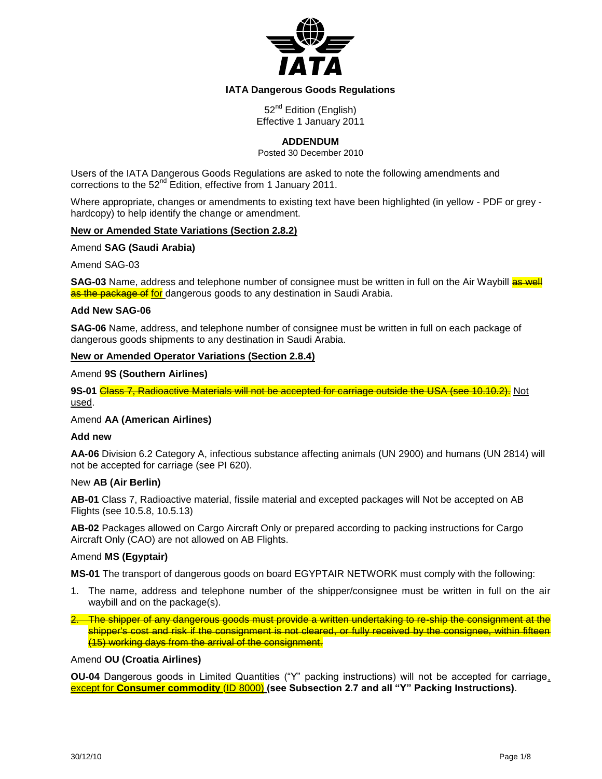

# **IATA Dangerous Goods Regulations**

52<sup>nd</sup> Edition (English) Effective 1 January 2011

# **ADDENDUM**

Posted 30 December 2010

Users of the IATA Dangerous Goods Regulations are asked to note the following amendments and corrections to the  $52^{nd}$  Edition, effective from 1 January 2011.

Where appropriate, changes or amendments to existing text have been highlighted (in yellow - PDF or grey hardcopy) to help identify the change or amendment.

### **New or Amended State Variations (Section 2.8.2)**

Amend **SAG (Saudi Arabia)**

Amend SAG-03

**SAG-03** Name, address and telephone number of consignee must be written in full on the Air Waybill as well as the package of for dangerous goods to any destination in Saudi Arabia.

### **Add New SAG-06**

**SAG-06** Name, address, and telephone number of consignee must be written in full on each package of dangerous goods shipments to any destination in Saudi Arabia.

# **New or Amended Operator Variations (Section 2.8.4)**

Amend **9S (Southern Airlines)**

9S-01 Class 7, Radioactive Materials will not be accepted for carriage outside the USA (see 10.10.2). Not used.

Amend **AA (American Airlines)**

#### **Add new**

**AA-06** Division 6.2 Category A, infectious substance affecting animals (UN 2900) and humans (UN 2814) will not be accepted for carriage (see PI 620).

# New **AB (Air Berlin)**

**AB-01** Class 7, Radioactive material, fissile material and excepted packages will Not be accepted on AB Flights (see 10.5.8, 10.5.13)

**AB-02** Packages allowed on Cargo Aircraft Only or prepared according to packing instructions for Cargo Aircraft Only (CAO) are not allowed on AB Flights.

#### Amend **MS (Egyptair)**

**MS-01** The transport of dangerous goods on board EGYPTAIR NETWORK must comply with the following:

- 1. The name, address and telephone number of the shipper/consignee must be written in full on the air waybill and on the package(s).
- 2. The shipper of any dangerous goods must provide a written undertaking to re-ship the consignment at the shipper's cost and risk if the consignment is not cleared, or fully received by the consignee, within fifteen (15) working days from the arrival of the consignment.

### Amend **OU (Croatia Airlines)**

**OU-04** Dangerous goods in Limited Quantities ("Y" packing instructions) will not be accepted for carriage, except for **Consumer commodity** (ID 8000) **(see Subsection 2.7 and all "Y" Packing Instructions)**.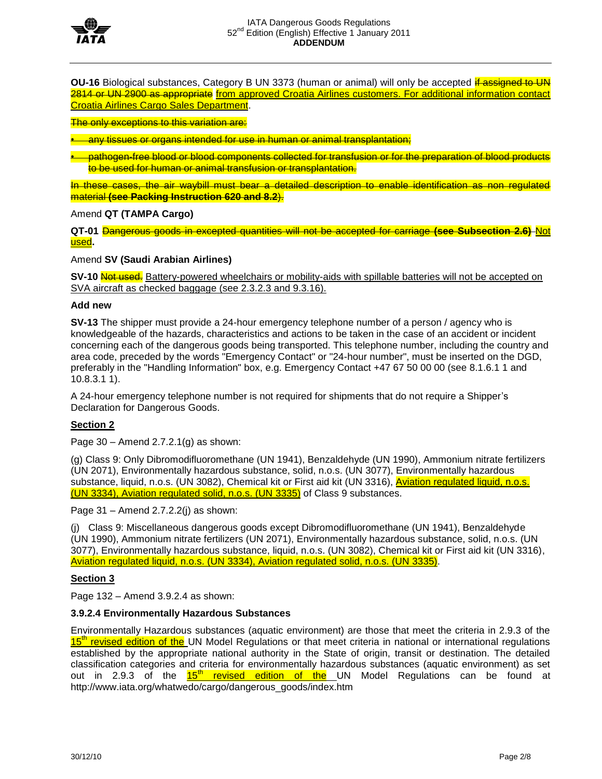

**OU-16** Biological substances, Category B UN 3373 (human or animal) will only be accepted if assigned to UN 2814 or UN 2900 as appropriate from approved Croatia Airlines customers. For additional information contact Croatia Airlines Cargo Sales Department.

The only exceptions to this variation are:

any tissues or organs intended for use in human or animal transplantation;

• pathogen-free blood or blood components collected for transfusion or for the preparation of blood products to be used for human or animal transfusion or transplantation.

In these cases, the air waybill must bear a detailed description to enable identification as non regulated material **(see Packing Instruction 620 and 8.2**).

Amend **QT (TAMPA Cargo)**

**QT-01** Dangerous goods in excepted quantities will not be accepted for carriage **(see Subsection 2.6)** Not used**.**

Amend **SV (Saudi Arabian Airlines)**

**SV-10** Not used. Battery-powered wheelchairs or mobility-aids with spillable batteries will not be accepted on SVA aircraft as checked baggage (see 2.3.2.3 and 9.3.16).

## **Add new**

**SV-13** The shipper must provide a 24-hour emergency telephone number of a person / agency who is knowledgeable of the hazards, characteristics and actions to be taken in the case of an accident or incident concerning each of the dangerous goods being transported. This telephone number, including the country and area code, preceded by the words "Emergency Contact" or "24-hour number", must be inserted on the DGD, preferably in the "Handling Information" box, e.g. Emergency Contact +47 67 50 00 00 (see 8.1.6.1 1 and 10.8.3.1 1).

A 24-hour emergency telephone number is not required for shipments that do not require a Shipper's Declaration for Dangerous Goods.

# **Section 2**

Page  $30 -$  Amend 2.7.2.1(g) as shown:

(g) Class 9: Only Dibromodifluoromethane (UN 1941), Benzaldehyde (UN 1990), Ammonium nitrate fertilizers (UN 2071), Environmentally hazardous substance, solid, n.o.s. (UN 3077), Environmentally hazardous substance, liquid, n.o.s. (UN 3082), Chemical kit or First aid kit (UN 3316), Aviation regulated liquid, n.o.s. (UN 3334), Aviation regulated solid, n.o.s. (UN 3335) of Class 9 substances.

Page  $31 -$  Amend 2.7.2.2(j) as shown:

(j) Class 9: Miscellaneous dangerous goods except Dibromodifluoromethane (UN 1941), Benzaldehyde (UN 1990), Ammonium nitrate fertilizers (UN 2071), Environmentally hazardous substance, solid, n.o.s. (UN 3077), Environmentally hazardous substance, liquid, n.o.s. (UN 3082), Chemical kit or First aid kit (UN 3316), Aviation regulated liquid, n.o.s. (UN 3334), Aviation regulated solid, n.o.s. (UN 3335).

# **Section 3**

Page 132 – Amend 3.9.2.4 as shown:

# **3.9.2.4 Environmentally Hazardous Substances**

Environmentally Hazardous substances (aquatic environment) are those that meet the criteria in 2.9.3 of the 15<sup>th</sup> revised edition of the UN Model Regulations or that meet criteria in national or international regulations established by the appropriate national authority in the State of origin, transit or destination. The detailed classification categories and criteria for environmentally hazardous substances (aquatic environment) as set out in 2.9.3 of the  $15<sup>th</sup>$  revised edition of the UN Model Regulations can be found at http://www.iata.org/whatwedo/cargo/dangerous\_goods/index.htm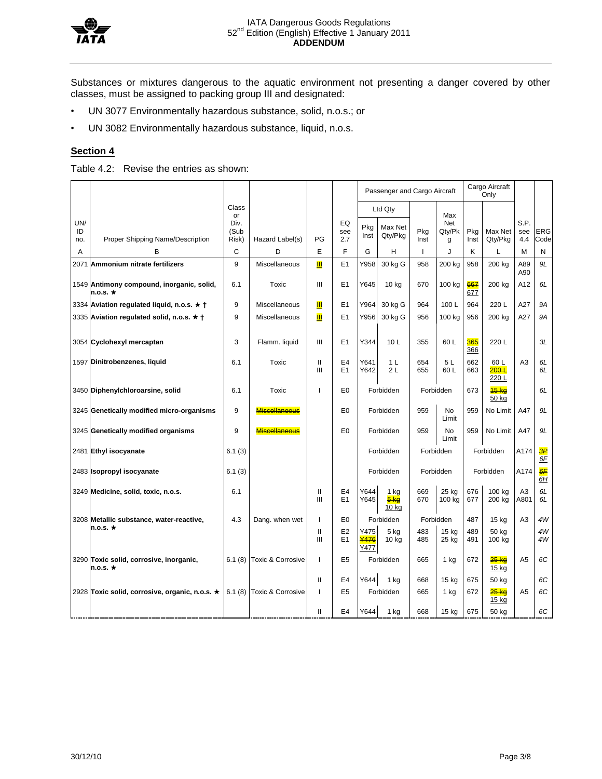

Substances or mixtures dangerous to the aquatic environment not presenting a danger covered by other classes, must be assigned to packing group III and designated:

- UN 3077 Environmentally hazardous substance, solid, n.o.s.; or
- UN 3082 Environmentally hazardous substance, liquid, n.o.s.

# **Section 4**

Table 4.2: Revise the entries as shown:

|                  |                                                             |                       |                           |                    |                                  | Passenger and Cargo Aircraft |                           |              | Cargo Aircraft<br>Only    |             |                          |                        |                       |
|------------------|-------------------------------------------------------------|-----------------------|---------------------------|--------------------|----------------------------------|------------------------------|---------------------------|--------------|---------------------------|-------------|--------------------------|------------------------|-----------------------|
|                  |                                                             | Class<br>or           |                           |                    |                                  |                              | Ltd Qty                   |              | Max                       |             |                          |                        |                       |
| UN/<br>ID<br>no. | Proper Shipping Name/Description                            | Div.<br>(Sub<br>Risk) | Hazard Label(s)           | PG                 | EQ<br>see<br>2.7                 | Pkg<br>Inst                  | Max Net<br>Qty/Pkg        | Pkg<br>Inst  | <b>Net</b><br>Qty/Pk<br>g | Pkg<br>Inst | Max Net<br>Qty/Pkg       | S.P.<br>see<br>4.4     | <b>ERG</b><br>Code    |
| A                | B                                                           | C                     | D                         | E                  | F                                | G                            | H                         | $\mathbf{I}$ | J                         | K           | Г                        | M                      | N                     |
|                  | 2071 Ammonium nitrate fertilizers                           | 9                     | Miscellaneous             | Ш                  | E1                               | Y958                         | 30 kg G                   | 958          | 200 kg                    | 958         | 200 kg                   | A89<br>A90             | 9L                    |
|                  | 1549 Antimony compound, inorganic, solid,<br>n.o.s. $\star$ | 6.1                   | Toxic                     | Ш                  | E1                               | Y645                         | 10 kg                     | 670          | 100 kg                    | 667<br>677  | 200 kg                   | A12                    | 6L                    |
|                  | 3334 Aviation regulated liquid, n.o.s. $\star$ +            | 9                     | <b>Miscellaneous</b>      | Ш                  | E1                               | Y964                         | 30 kg G                   | 964          | 100 L                     | 964         | 220L                     | A27                    | <b>9A</b>             |
|                  | 3335 Aviation regulated solid, n.o.s. ★ †                   | 9                     | Miscellaneous             | Ш                  | E1                               | Y956                         | 30 kg G                   | 956          | 100 kg                    | 956         | 200 kg                   | A27                    | <b>9A</b>             |
|                  | 3054 Cyclohexyl mercaptan                                   | 3                     | Flamm. liquid             | Ш                  | E1                               | Y344                         | 10 <sub>L</sub>           | 355          | 60L                       | 365<br>366  | 220L                     |                        | ЗL                    |
|                  | 1597 Dinitrobenzenes, liquid                                | 6.1                   | Toxic                     | $\mathsf{II}$<br>Ш | E <sub>4</sub><br>F <sub>1</sub> | Y641<br>Y642                 | 1 <sub>L</sub><br>2L      | 654<br>655   | 5L<br>60 L                | 662<br>663  | 60 L<br>$200 +$<br>220L  | A <sub>3</sub>         | 6L<br>6L              |
|                  | 3450 Diphenylchloroarsine, solid                            | 6.1                   | Toxic                     | ı                  | E <sub>0</sub>                   |                              | Forbidden                 |              | Forbidden                 | 673         | $15 \text{ kg}$<br>50 kg |                        | 6L                    |
|                  | 3245 Genetically modified micro-organisms                   | 9                     | <b>Miscellaneous</b>      |                    | E <sub>0</sub>                   |                              | Forbidden                 | 959          | <b>No</b><br>Limit        | 959         | No Limit                 | A47                    | 9L                    |
|                  | 3245 Genetically modified organisms                         | 9                     | <b>Miscellaneous</b>      |                    | E <sub>0</sub>                   |                              | Forbidden                 | 959          | <b>No</b><br>Limit        | 959         | No Limit                 | A47                    | 9L                    |
|                  | 2481 Ethyl isocyanate                                       | 6.1(3)                |                           |                    |                                  |                              | Forbidden                 |              | Forbidden                 |             | Forbidden                | A174                   | $\overline{3P}$<br>6F |
|                  | 2483 Isopropyl isocyanate                                   | 6.1(3)                |                           |                    |                                  |                              | Forbidden                 |              | Forbidden                 |             | Forbidden                | A174                   | 6F<br>6H              |
|                  | 3249 Medicine, solid, toxic, n.o.s.                         | 6.1                   |                           | Ш<br>Ш             | E4<br>E1                         | Y644<br>Y645                 | $1$ kg<br>$5k$ a<br>10 kg | 669<br>670   | 25 kg<br>100 kg           | 676<br>677  | 100 kg<br>200 kg         | A <sub>3</sub><br>A801 | 6L<br>6L              |
|                  | 3208 Metallic substance, water-reactive,                    | 4.3                   | Dang. when wet            | $\mathbf{I}$       | E <sub>0</sub>                   |                              | Forbidden                 |              | Forbidden                 | 487         | 15 kg                    | A <sub>3</sub>         | 4W                    |
|                  | $n.o.s. \star$                                              |                       |                           | $\mathsf{II}$<br>Ш | E <sub>2</sub><br>E1             | Y475<br>¥476<br>Y477         | 5 kg<br>10 <sub>kg</sub>  | 483<br>485   | 15 kg<br>25 kg            | 489<br>491  | 50 kg<br>100 kg          |                        | 4W<br>4W              |
|                  | 3290 Toxic solid, corrosive, inorganic,<br>n.o.s. $\star$   |                       | 6.1 (8) Toxic & Corrosive | $\mathbf{I}$       | E <sub>5</sub>                   |                              | Forbidden                 | 665          | 1 kg                      | 672         | 25 ka<br>$15$ kg         | A <sub>5</sub>         | 6C                    |
|                  |                                                             |                       |                           | $\mathbf{H}$       | E <sub>4</sub>                   | Y644                         | 1 kg                      | 668          | 15 kg                     | 675         | 50 kg                    |                        | 6C                    |
|                  | 2928 Toxic solid, corrosive, organic, n.o.s. ★              |                       | 6.1 (8) Toxic & Corrosive | ı                  | E <sub>5</sub>                   |                              | Forbidden                 | 665          | 1 kg                      | 672         | 25 kg<br>15 kg           | A <sub>5</sub>         | 6C                    |
|                  |                                                             |                       |                           | Ш                  | E <sub>4</sub>                   | Y644                         | $1$ kg                    | 668          | 15 kg                     | 675         | 50 kg                    |                        | 6C                    |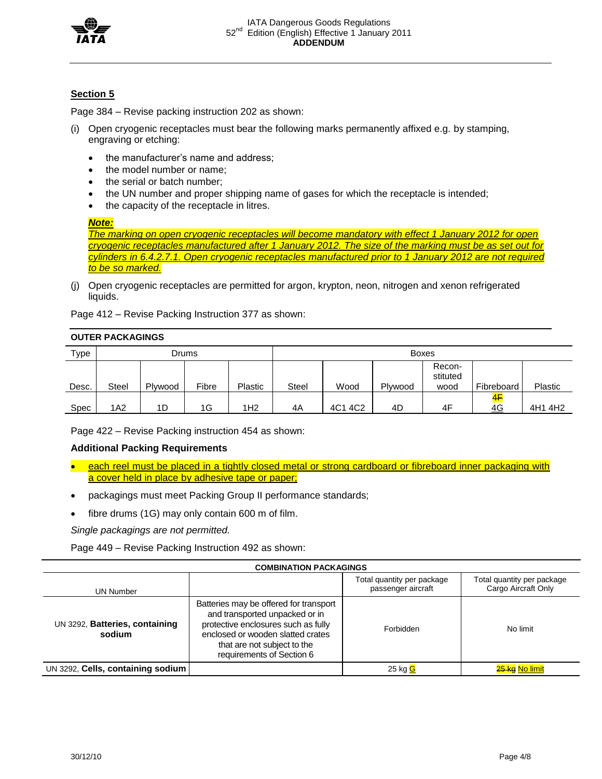

# **Section 5**

Page 384 – Revise packing instruction 202 as shown:

- (i) Open cryogenic receptacles must bear the following marks permanently affixed e.g. by stamping, engraving or etching:
	- the manufacturer's name and address;
	- the model number or name:
	- the serial or batch number:
	- the UN number and proper shipping name of gases for which the receptacle is intended;
	- the capacity of the receptacle in litres.

#### *Note:*

*The marking on open cryogenic receptacles will become mandatory with effect 1 January 2012 for open cryogenic receptacles manufactured after 1 January 2012. The size of the marking must be as set out for cylinders in 6.4.2.7.1. Open cryogenic receptacles manufactured prior to 1 January 2012 are not required to be so marked.*

(j) Open cryogenic receptacles are permitted for argon, krypton, neon, nitrogen and xenon refrigerated liquids.

Page 412 – Revise Packing Instruction 377 as shown:

### **OUTER PACKAGINGS**

| Type        | Drums        |         |       |                | <b>Boxes</b> |         |         |                            |            |         |  |
|-------------|--------------|---------|-------|----------------|--------------|---------|---------|----------------------------|------------|---------|--|
| Desc.       | <b>Steel</b> | Plywood | Fibre | <b>Plastic</b> | <b>Steel</b> | Wood    | Plywood | Recon-<br>stituted<br>wood | Fibreboard | Plastic |  |
| <b>Spec</b> | 1A2          | 1D      | 1G    | IH2            | 4A           | 4C1 4C2 | 4D      | 4F                         | 4F<br>4G   | 4H1 4H2 |  |

Page 422 – Revise Packing instruction 454 as shown:

## **Additional Packing Requirements**

- each reel must be placed in a tightly closed metal or strong cardboard or fibreboard inner packaging with a cover held in place by adhesive tape or paper;
- packagings must meet Packing Group II performance standards;
- fibre drums (1G) may only contain 600 m of film.

*Single packagings are not permitted.*

Page 449 – Revise Packing Instruction 492 as shown:

| <b>COMBINATION PACKAGINGS</b>            |                                                                                                                                                                                                                  |                                                  |                                                   |  |  |  |  |
|------------------------------------------|------------------------------------------------------------------------------------------------------------------------------------------------------------------------------------------------------------------|--------------------------------------------------|---------------------------------------------------|--|--|--|--|
| UN Number                                |                                                                                                                                                                                                                  | Total quantity per package<br>passenger aircraft | Total quantity per package<br>Cargo Aircraft Only |  |  |  |  |
| UN 3292, Batteries, containing<br>sodium | Batteries may be offered for transport<br>and transported unpacked or in<br>protective enclosures such as fully<br>enclosed or wooden slatted crates<br>that are not subject to the<br>requirements of Section 6 | Forbidden                                        | No limit                                          |  |  |  |  |
| UN 3292, Cells, containing sodium        |                                                                                                                                                                                                                  | 25 kg <mark>G</mark>                             | 25 kg No limit                                    |  |  |  |  |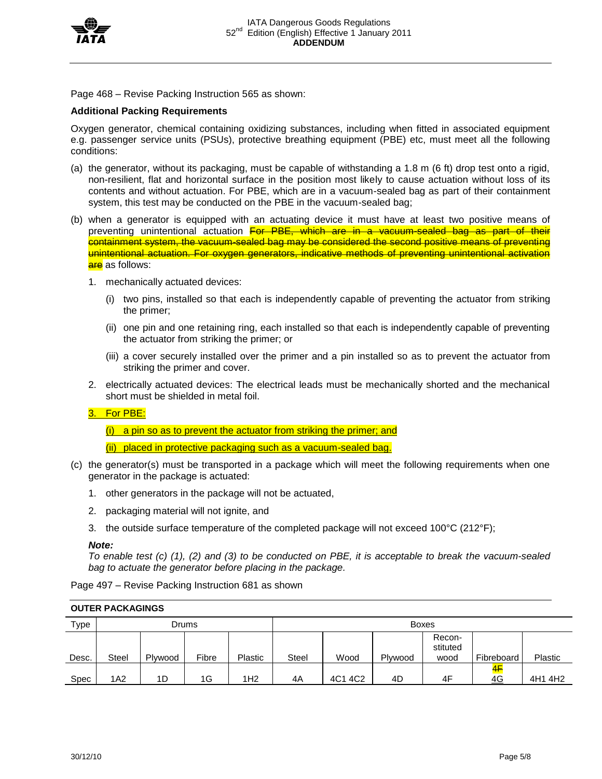

Page 468 – Revise Packing Instruction 565 as shown:

## **Additional Packing Requirements**

Oxygen generator, chemical containing oxidizing substances, including when fitted in associated equipment e.g. passenger service units (PSUs), protective breathing equipment (PBE) etc, must meet all the following conditions:

- (a) the generator, without its packaging, must be capable of withstanding a 1.8 m (6 ft) drop test onto a rigid, non-resilient, flat and horizontal surface in the position most likely to cause actuation without loss of its contents and without actuation. For PBE, which are in a vacuum-sealed bag as part of their containment system, this test may be conducted on the PBE in the vacuum-sealed bag;
- (b) when a generator is equipped with an actuating device it must have at least two positive means of preventing unintentional actuation For PBE, which are in a vacuum-sealed bag as part of their containment system, the vacuum-sealed bag may be considered the second positive means of preventing unintentional actuation. For oxygen generators, indicative methods of preventing unintentional activation are as follows:
	- 1. mechanically actuated devices:
		- (i) two pins, installed so that each is independently capable of preventing the actuator from striking the primer;
		- (ii) one pin and one retaining ring, each installed so that each is independently capable of preventing the actuator from striking the primer; or
		- (iii) a cover securely installed over the primer and a pin installed so as to prevent the actuator from striking the primer and cover.
	- 2. electrically actuated devices: The electrical leads must be mechanically shorted and the mechanical short must be shielded in metal foil.

# 3. For PBE:

 $(i)$  a pin so as to prevent the actuator from striking the primer; and

(ii) placed in protective packaging such as a vacuum-sealed bag.

- (c) the generator(s) must be transported in a package which will meet the following requirements when one generator in the package is actuated:
	- 1. other generators in the package will not be actuated,
	- 2. packaging material will not ignite, and
	- 3. the outside surface temperature of the completed package will not exceed  $100^{\circ}C$  (212 $^{\circ}F$ );

#### *Note:*

*To enable test (c) (1), (2) and (3) to be conducted on PBE, it is acceptable to break the vacuum-sealed bag to actuate the generator before placing in the package.*

Page 497 – Revise Packing Instruction 681 as shown

| Type  |       | <b>Boxes</b><br><b>Drums</b> |       |                 |              |         |         |                            |            |         |
|-------|-------|------------------------------|-------|-----------------|--------------|---------|---------|----------------------------|------------|---------|
| Desc. | Steel | Plywood                      | Fibre | <b>Plastic</b>  | <b>Steel</b> | Wood    | Plywood | Recon-<br>stituted<br>wood | Fibreboard | Plastic |
| Spec  | 1A2   | 1D                           | 1G    | 1H <sub>2</sub> | 4A           | 4C1 4C2 | 4D      | 4F                         | 4F<br>4G   | 4H1 4H2 |

#### **OUTER PACKAGINGS**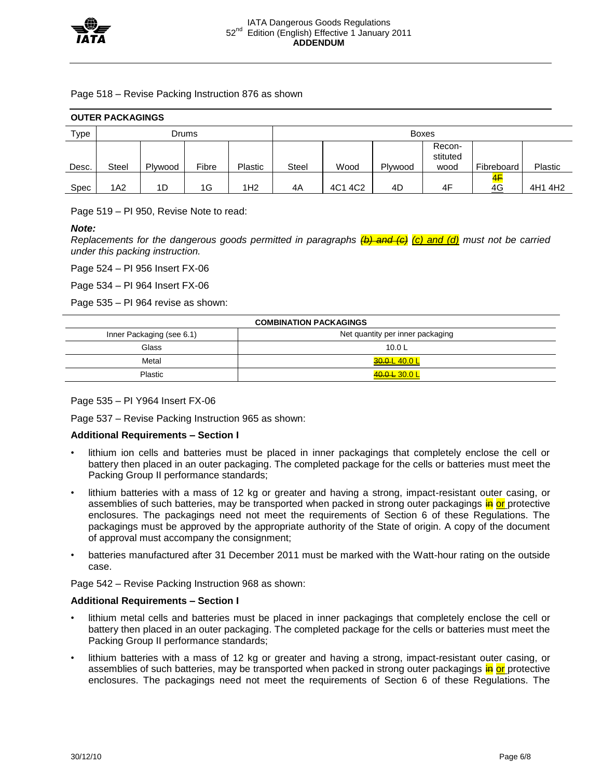

#### Page 518 – Revise Packing Instruction 876 as shown

| <b>OUTER PACKAGINGS</b> |              |         |       |                |              |         |         |                            |            |                |  |  |
|-------------------------|--------------|---------|-------|----------------|--------------|---------|---------|----------------------------|------------|----------------|--|--|
| Type                    | Drums        |         |       |                | <b>Boxes</b> |         |         |                            |            |                |  |  |
| Desc.                   | <b>Steel</b> | Plywood | Fibre | <b>Plastic</b> | <b>Steel</b> | Wood    | Plywood | Recon-<br>stituted<br>wood | Fibreboard | <b>Plastic</b> |  |  |
|                         |              |         |       |                |              |         |         |                            | <u> 4F</u> |                |  |  |
| Spec                    | 1A2          | 1D      | 1G    | IH2            | 4A           | 4C1 4C2 | 4D      | 4F                         | 4G         | 4H1 4H2        |  |  |

Page 519 – PI 950, Revise Note to read:

### *Note:*

*Replacements for the dangerous goods permitted in paragraphs (b) and (c) (c) and (d) must not be carried under this packing instruction.*

Page 524 – PI 956 Insert FX-06

Page 534 – PI 964 Insert FX-06

Page 535 – PI 964 revise as shown:

| <b>COMBINATION PACKAGINGS</b> |                                  |  |  |  |  |  |
|-------------------------------|----------------------------------|--|--|--|--|--|
| Inner Packaging (see 6.1)     | Net quantity per inner packaging |  |  |  |  |  |
| Glass                         | 10.0 $L$                         |  |  |  |  |  |
| Metal                         | <del>30.0 </del> 40.0 L          |  |  |  |  |  |
| Plastic                       | 40.0 L 30.0 L                    |  |  |  |  |  |

# Page 535 – PI Y964 Insert FX-06

Page 537 – Revise Packing Instruction 965 as shown:

# **Additional Requirements – Section I**

- lithium ion cells and batteries must be placed in inner packagings that completely enclose the cell or battery then placed in an outer packaging. The completed package for the cells or batteries must meet the Packing Group II performance standards;
- lithium batteries with a mass of 12 kg or greater and having a strong, impact-resistant outer casing, or assemblies of such batteries, may be transported when packed in strong outer packagings in or protective enclosures. The packagings need not meet the requirements of Section 6 of these Regulations. The packagings must be approved by the appropriate authority of the State of origin. A copy of the document of approval must accompany the consignment;
- batteries manufactured after 31 December 2011 must be marked with the Watt-hour rating on the outside case.

Page 542 – Revise Packing Instruction 968 as shown:

# **Additional Requirements – Section I**

- lithium metal cells and batteries must be placed in inner packagings that completely enclose the cell or battery then placed in an outer packaging. The completed package for the cells or batteries must meet the Packing Group II performance standards;
- lithium batteries with a mass of 12 kg or greater and having a strong, impact-resistant outer casing, or assemblies of such batteries, may be transported when packed in strong outer packagings in or protective enclosures. The packagings need not meet the requirements of Section 6 of these Regulations. The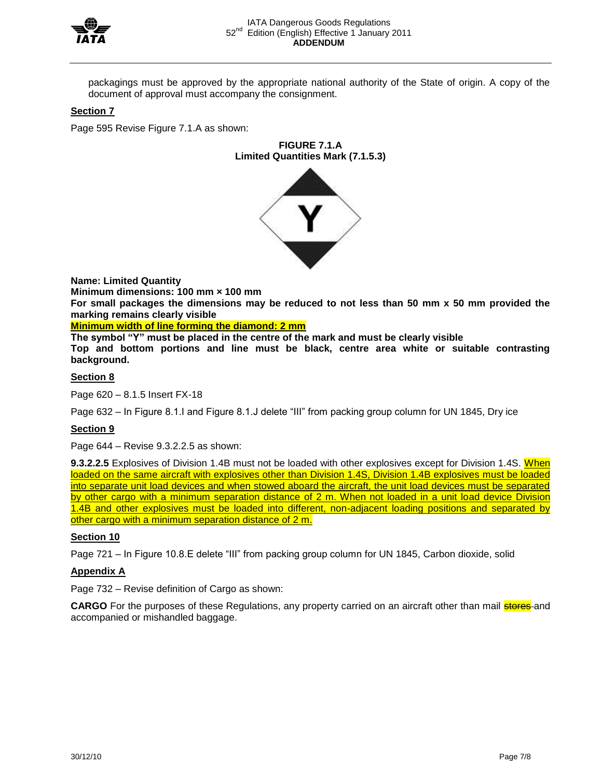

packagings must be approved by the appropriate national authority of the State of origin. A copy of the document of approval must accompany the consignment.

# **Section 7**

Page 595 Revise Figure 7.1.A as shown:

**FIGURE 7.1.A Limited Quantities Mark (7.1.5.3)**

**Name: Limited Quantity** 

**Minimum dimensions: 100 mm × 100 mm** 

**For small packages the dimensions may be reduced to not less than 50 mm x 50 mm provided the marking remains clearly visible** 

**Minimum width of line forming the diamond: 2 mm**

**The symbol "Y" must be placed in the centre of the mark and must be clearly visible Top and bottom portions and line must be black, centre area white or suitable contrasting background.**

### **Section 8**

Page 620 – 8.1.5 Insert FX-18

Page 632 – In Figure 8.1.I and Figure 8.1.J delete "III" from packing group column for UN 1845, Dry ice

# **Section 9**

Page 644 – Revise 9.3.2.2.5 as shown:

**9.3.2.2.5** Explosives of Division 1.4B must not be loaded with other explosives except for Division 1.4S. When loaded on the same aircraft with explosives other than Division 1.4S, Division 1.4B explosives must be loaded into separate unit load devices and when stowed aboard the aircraft, the unit load devices must be separated by other cargo with a minimum separation distance of 2 m. When not loaded in a unit load device Division 1.4B and other explosives must be loaded into different, non-adjacent loading positions and separated by other cargo with a minimum separation distance of 2 m.

### **Section 10**

Page 721 – In Figure 10.8.E delete "III" from packing group column for UN 1845, Carbon dioxide, solid

# **Appendix A**

Page 732 – Revise definition of Cargo as shown:

**CARGO** For the purposes of these Regulations, any property carried on an aircraft other than mail **stores** and accompanied or mishandled baggage.